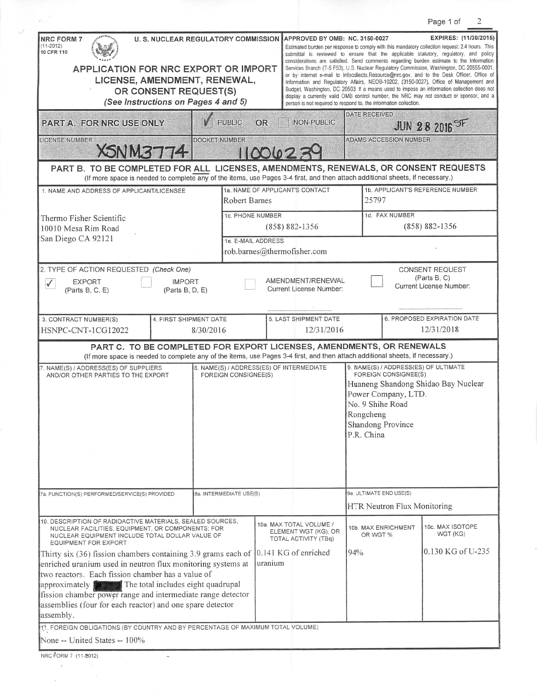|                                                                                                                                                                                                                                                                                                                                                                                                                                                      |                                                                  |                                                         |                                                                                                                                                                                                                                                                                                                                                                                                                                                                                                                                                                                                                                                                                                                                                                                                                                                                          |                                                                                                                                                                                                |                               | Page 1 of                                                         | 2 |
|------------------------------------------------------------------------------------------------------------------------------------------------------------------------------------------------------------------------------------------------------------------------------------------------------------------------------------------------------------------------------------------------------------------------------------------------------|------------------------------------------------------------------|---------------------------------------------------------|--------------------------------------------------------------------------------------------------------------------------------------------------------------------------------------------------------------------------------------------------------------------------------------------------------------------------------------------------------------------------------------------------------------------------------------------------------------------------------------------------------------------------------------------------------------------------------------------------------------------------------------------------------------------------------------------------------------------------------------------------------------------------------------------------------------------------------------------------------------------------|------------------------------------------------------------------------------------------------------------------------------------------------------------------------------------------------|-------------------------------|-------------------------------------------------------------------|---|
| <b>NRC FORM 7</b><br>$(11 - 2012)$<br>10 CFR 110<br>APPLICATION FOR NRC EXPORT OR IMPORT<br>LICENSE, AMENDMENT, RENEWAL,<br>(See Instructions on Pages 4 and 5)                                                                                                                                                                                                                                                                                      | OR CONSENT REQUEST(S)                                            | <b>U. S. NUCLEAR REGULATORY COMMISSION</b>              | APPROVED BY OMB: NO. 3150-0027<br>Estimated burden per response to comply with this mandatory collection request: 2.4 hours. This<br>submittal is reviewed to ensure that the applicable statutory, regulatory, and policy<br>considerations are satisfied. Send comments regarding burden estimate to the Information<br>Services Branch (T-5 F53), U.S. Nuclear Regulatory Commission, Washington, DC 20555-0001,<br>or by internet e-mail to Infocollects.Resource@nrc.gov, and to the Desk Officer, Office of<br>Information and Regulatory Affairs, NEOB-10202, (3150-0027), Office of Management and<br>Budget, Washington, DC 20503. If a means used to impose an information collection does not<br>display a currently valid OMB control number, the NRC may not conduct or sponsor, and a<br>person is not required to respond to, the information collection. |                                                                                                                                                                                                |                               | EXPIRES: (11/30/2015)                                             |   |
| PART A. FOR NRC USE ONLY                                                                                                                                                                                                                                                                                                                                                                                                                             |                                                                  | <b>PUBLIC</b><br><b>OR</b>                              |                                                                                                                                                                                                                                                                                                                                                                                                                                                                                                                                                                                                                                                                                                                                                                                                                                                                          | DATE RECEIVED<br>NON-PUBLIC                                                                                                                                                                    |                               | <b>JUN 28 2016 SF</b>                                             |   |
| <b>LICENSE NUMBER</b><br><b>XSNM3774</b>                                                                                                                                                                                                                                                                                                                                                                                                             |                                                                  | <b>DOCKET NUMBER</b>                                    | 11001023                                                                                                                                                                                                                                                                                                                                                                                                                                                                                                                                                                                                                                                                                                                                                                                                                                                                 |                                                                                                                                                                                                | <b>ADAMS ACCESSION NUMBER</b> |                                                                   |   |
| PART B. TO BE COMPLETED FOR ALL LICENSES, AMENDMENTS, RENEWALS, OR CONSENT REQUESTS<br>(If more space is needed to complete any of the items, use Pages 3-4 first, and then attach additional sheets, if necessary.)                                                                                                                                                                                                                                 |                                                                  |                                                         |                                                                                                                                                                                                                                                                                                                                                                                                                                                                                                                                                                                                                                                                                                                                                                                                                                                                          |                                                                                                                                                                                                |                               |                                                                   |   |
| 1. NAME AND ADDRESS OF APPLICANT/LICENSEE                                                                                                                                                                                                                                                                                                                                                                                                            |                                                                  | 1a. NAME OF APPLICANT'S CONTACT<br><b>Robert Barnes</b> |                                                                                                                                                                                                                                                                                                                                                                                                                                                                                                                                                                                                                                                                                                                                                                                                                                                                          | 1b. APPLICANT'S REFERENCE NUMBER<br>25797                                                                                                                                                      |                               |                                                                   |   |
| Thermo Fisher Scientific<br>10010 Mesa Rim Road<br>San Diego CA 92121                                                                                                                                                                                                                                                                                                                                                                                |                                                                  | <b>1c. PHONE NUMBER</b><br>$(858) 882 - 1356$           |                                                                                                                                                                                                                                                                                                                                                                                                                                                                                                                                                                                                                                                                                                                                                                                                                                                                          | 1d. FAX NUMBER<br>$(858) 882 - 1356$                                                                                                                                                           |                               |                                                                   |   |
|                                                                                                                                                                                                                                                                                                                                                                                                                                                      |                                                                  | 1e. E-MAIL ADDRESS<br>rob.barnes@thermofisher.com       |                                                                                                                                                                                                                                                                                                                                                                                                                                                                                                                                                                                                                                                                                                                                                                                                                                                                          |                                                                                                                                                                                                |                               |                                                                   |   |
| 2. TYPE OF ACTION REQUESTED (Check One)<br><b>EXPORT</b><br>$\checkmark$<br>(Parts B, C, E)                                                                                                                                                                                                                                                                                                                                                          | <b>IMPORT</b><br>(Parts B, D, E)                                 |                                                         | AMENDMENT/RENEWAL<br><b>Current License Number:</b>                                                                                                                                                                                                                                                                                                                                                                                                                                                                                                                                                                                                                                                                                                                                                                                                                      |                                                                                                                                                                                                |                               | <b>CONSENT REQUEST</b><br>(Parts B, C)<br>Current License Number: |   |
| 3. CONTRACT NUMBER(S)<br>HSNPC-CNT-1CG12022                                                                                                                                                                                                                                                                                                                                                                                                          | 4. FIRST SHIPMENT DATE<br>8/30/2016                              |                                                         | 5. LAST SHIPMENT DATE                                                                                                                                                                                                                                                                                                                                                                                                                                                                                                                                                                                                                                                                                                                                                                                                                                                    | 12/31/2016                                                                                                                                                                                     |                               | 6. PROPOSED EXPIRATION DATE<br>12/31/2018                         |   |
| (If more space is needed to complete any of the items, use Pages 3-4 first, and then attach additional sheets, if necessary.)                                                                                                                                                                                                                                                                                                                        |                                                                  |                                                         | PART C. TO BE COMPLETED FOR EXPORT LICENSES, AMENDMENTS, OR RENEWALS                                                                                                                                                                                                                                                                                                                                                                                                                                                                                                                                                                                                                                                                                                                                                                                                     |                                                                                                                                                                                                |                               |                                                                   |   |
| 7. NAME(S) / ADDRESS(ES) OF SUPPLIERS<br>AND/OR OTHER PARTIES TO THE EXPORT                                                                                                                                                                                                                                                                                                                                                                          | 8. NAME(S) / ADDRESS(ES) OF INTERMEDIATE<br>FOREIGN CONSIGNEE(S) |                                                         |                                                                                                                                                                                                                                                                                                                                                                                                                                                                                                                                                                                                                                                                                                                                                                                                                                                                          | 9. NAME(S) / ADDRESS(ES) OF ULTIMATE<br>FOREIGN CONSIGNEE(S)<br>Huaneng Shandong Shidao Bay Nuclear<br>Power Company, LTD.<br>No. 9 Shihe Road<br>Rongcheng<br>Shandong Province<br>P.R. China |                               |                                                                   |   |
| 7a. FUNCTION(S) PERFORMED/SERVICE(S) PROVIDED                                                                                                                                                                                                                                                                                                                                                                                                        |                                                                  | 8a. INTERMEDIATE USE(S)                                 |                                                                                                                                                                                                                                                                                                                                                                                                                                                                                                                                                                                                                                                                                                                                                                                                                                                                          | 9a. ULTIMATE END USE(S)<br>HTR Neutron Flux Monitoring                                                                                                                                         |                               |                                                                   |   |
| 10. DESCRIPTION OF RADIOACTIVE MATERIALS, SEALED SOURCES,<br>NUCLEAR FACILITIES, EQUIPMENT, OR COMPONENTS; FOR<br>NUCLEAR EQUIPMENT INCLUDE TOTAL DOLLAR VALUE OF                                                                                                                                                                                                                                                                                    |                                                                  |                                                         | 10a. MAX TOTAL VOLUME /<br>ELEMENT WGT (KG), OR<br>TOTAL ACTIVITY (TBq)                                                                                                                                                                                                                                                                                                                                                                                                                                                                                                                                                                                                                                                                                                                                                                                                  | 10b. MAX ENRICHMENT<br>OR WGT %                                                                                                                                                                |                               | 10c. MAX ISOTOPE<br>WGT (KG)                                      |   |
| <b>EQUIPMENT FOR EXPORT</b><br>Thirty six (36) fission chambers containing 3.9 grams each of 0.141 KG of enriched<br>enriched uranium used in neutron flux monitoring systems at<br>two reactors. Each fission chamber has a value of<br>approximately <b>the set of the total includes eight quadrupal</b><br>fission chamber power range and intermediate range detector<br>assemblies (four for each reactor) and one spare detector<br>assembly. |                                                                  |                                                         | uranium                                                                                                                                                                                                                                                                                                                                                                                                                                                                                                                                                                                                                                                                                                                                                                                                                                                                  | 94%                                                                                                                                                                                            |                               | 0.130 KG of U-235                                                 |   |
| 11. FOREIGN OBLIGATIONS (BY COUNTRY AND BY PERCENTAGE OF MAXIMUM TOTAL VOLUME)<br>None -- United States -- 100%                                                                                                                                                                                                                                                                                                                                      |                                                                  |                                                         |                                                                                                                                                                                                                                                                                                                                                                                                                                                                                                                                                                                                                                                                                                                                                                                                                                                                          |                                                                                                                                                                                                |                               |                                                                   |   |
| NRC FORM 7 (11-2012)                                                                                                                                                                                                                                                                                                                                                                                                                                 |                                                                  |                                                         |                                                                                                                                                                                                                                                                                                                                                                                                                                                                                                                                                                                                                                                                                                                                                                                                                                                                          |                                                                                                                                                                                                |                               |                                                                   |   |

 $e^{\beta}$ 

 $\mathcal{L}_{\mathbf{z}}$ 

 $\bar{z}$ 

Ñ,